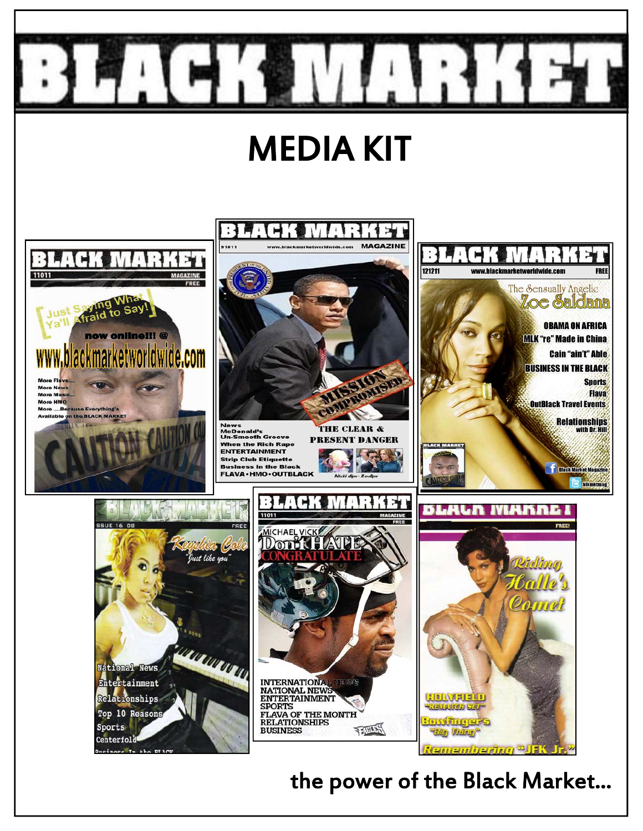

# MEDIA KIT

 $: \mathbf{I}$ 

 $\mathbf{I}$ 

 $1 + 1$ 





۳







 $\frac{1}{1}$ 



### the power of the Black Market...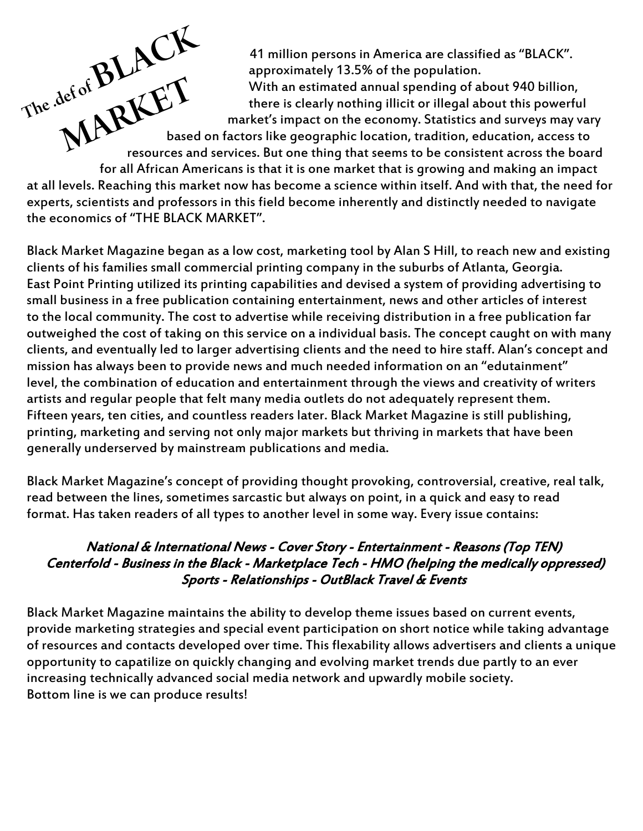41 million persons in America are classified as "BLACK". approximately 13.5% of the population.

 With an estimated annual spending of about 940 billion, there is clearly nothing illicit or illegal about this powerful market's impact on the economy. Statistics and surveys may vary

ne.def of De LET based on factors like geographic location, tradition, education, access to resources and services. But one thing that seems to be consistent across the board

 for all African Americans is that it is one market that is growing and making an impact at all levels. Reaching this market now has become a science within itself. And with that, the need for experts, scientists and professors in this field become inherently and distinctly needed to navigate the economics of "THE BLACK MARKET".

The def of BLACK

Black Market Magazine began as a low cost, marketing tool by Alan S Hill, to reach new and existing clients of his families small commercial printing company in the suburbs of Atlanta, Georgia. East Point Printing utilized its printing capabilities and devised a system of providing advertising to small business in a free publication containing entertainment, news and other articles of interest to the local community. The cost to advertise while receiving distribution in a free publication far outweighed the cost of taking on this service on a individual basis. The concept caught on with many clients, and eventually led to larger advertising clients and the need to hire staff. Alan's concept and mission has always been to provide news and much needed information on an "edutainment" level, the combination of education and entertainment through the views and creativity of writers artists and regular people that felt many media outlets do not adequately represent them. Fifteen years, ten cities, and countless readers later. Black Market Magazine is still publishing, printing, marketing and serving not only major markets but thriving in markets that have been generally underserved by mainstream publications and media.

Black Market Magazine's concept of providing thought provoking, controversial, creative, real talk, read between the lines, sometimes sarcastic but always on point, in a quick and easy to read format. Has taken readers of all types to another level in some way. Every issue contains:

### National & International News - Cover Story - Entertainment - Reasons (Top TEN) Centerfold - Business in the Black - Marketplace Tech - HMO (helping the medically oppressed) Sports - Relationships - OutBlack Travel & Events

Black Market Magazine maintains the ability to develop theme issues based on current events, provide marketing strategies and special event participation on short notice while taking advantage of resources and contacts developed over time. This flexability allows advertisers and clients a unique opportunity to capatilize on quickly changing and evolving market trends due partly to an ever increasing technically advanced social media network and upwardly mobile society. Bottom line is we can produce results!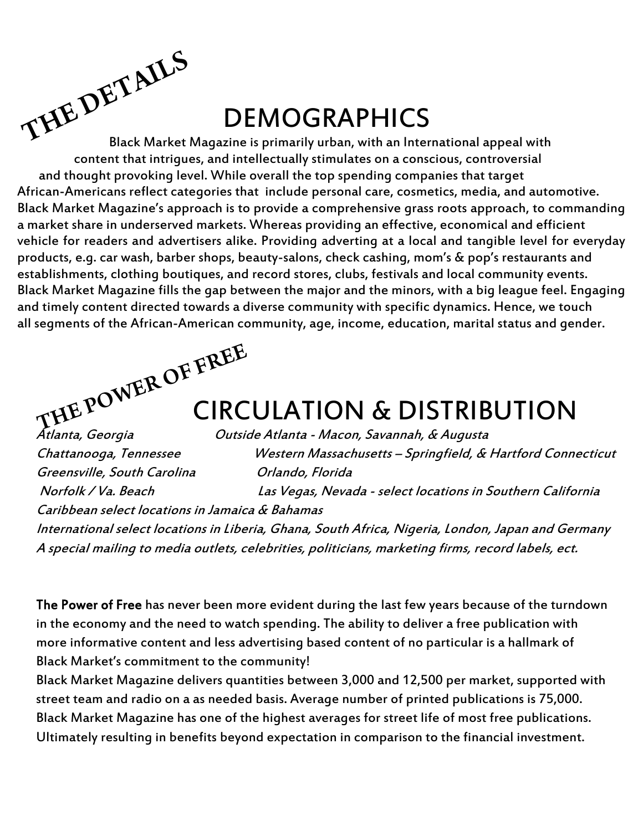## DEMOGRAPHICS

Black Market Magazine is primarily urban, with an International appeal with content that intrigues, and intellectually stimulates on a conscious, controversial and thought provoking level. While overall the top spending companies that target African-Americans reflect categories that include personal care, cosmetics, media, and automotive. Black Market Magazine's approach is to provide a comprehensive grass roots approach, to commanding a market share in underserved markets. Whereas providing an effective, economical and efficient vehicle for readers and advertisers alike. Providing adverting at a local and tangible level for everyday products, e.g. car wash, barber shops, beauty-salons, check cashing, mom's & pop's restaurants and establishments, clothing boutiques, and record stores, clubs, festivals and local community events. Black Market Magazine fills the gap between the major and the minors, with a big league feel. Engaging and timely content directed towards a diverse community with specific dynamics. Hence, we touch all segments of the African-American community, age, income, education, marital status and gender. THE DETAILS



### CIRCULATION & DISTRIBUTION

Outside Atlanta - Macon, Savannah, & Augusta Chattanooga, Tennessee Western Massachusetts – Springfield, & Hartford Connecticut Greensville, South Carolina **Canadica** Orlando, Florida Norfolk / Va. Beach Las Vegas, Nevada - select locations in Southern California Caribbean select locations in Jamaica & Bahamas International select locations in Liberia, Ghana, South Africa, Nigeria, London, Japan and Germany A special mailing to media outlets, celebrities, politicians, marketing firms, record labels, ect.

The Power of Free has never been more evident during the last few years because of the turndown in the economy and the need to watch spending. The ability to deliver a free publication with more informative content and less advertising based content of no particular is a hallmark of Black Market's commitment to the community!

Black Market Magazine delivers quantities between 3,000 and 12,500 per market, supported with street team and radio on a as needed basis. Average number of printed publications is 75,000. Black Market Magazine has one of the highest averages for street life of most free publications. Ultimately resulting in benefits beyond expectation in comparison to the financial investment.